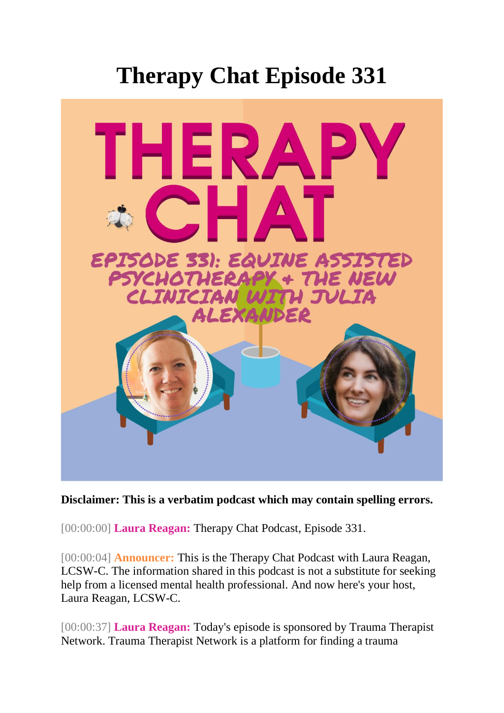## **Therapy Chat Episode 331**



## **Disclaimer: This is a verbatim podcast which may contain spelling errors.**

[00:00:00] **Laura Reagan:** Therapy Chat Podcast, Episode 331.

[00:00:04] **Announcer:** This is the Therapy Chat Podcast with Laura Reagan, LCSW-C. The information shared in this podcast is not a substitute for seeking help from a licensed mental health professional. And now here's your host, Laura Reagan, LCSW-C.

[00:00:37] **Laura Reagan:** Today's episode is sponsored by Trauma Therapist Network. Trauma Therapist Network is a platform for finding a trauma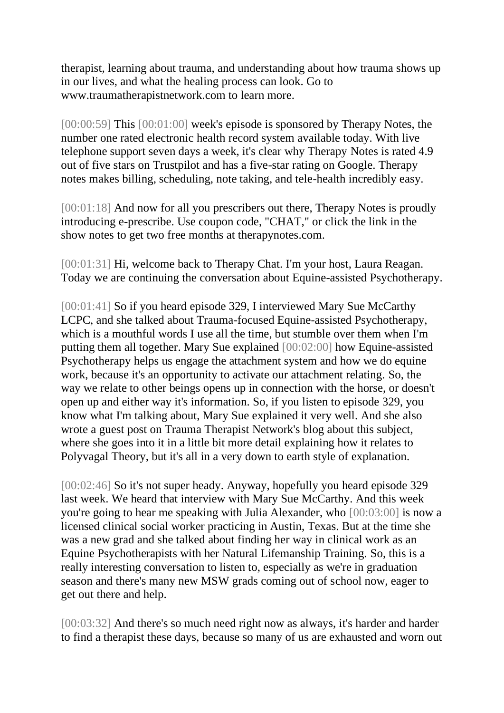therapist, learning about trauma, and understanding about how trauma shows up in our lives, and what the healing process can look. Go to www.traumatherapistnetwork.com to learn more.

[00:00:59] This [00:01:00] week's episode is sponsored by Therapy Notes, the number one rated electronic health record system available today. With live telephone support seven days a week, it's clear why Therapy Notes is rated 4.9 out of five stars on Trustpilot and has a five-star rating on Google. Therapy notes makes billing, scheduling, note taking, and tele-health incredibly easy.

[00:01:18] And now for all you prescribers out there, Therapy Notes is proudly introducing e-prescribe. Use coupon code, "CHAT," or click the link in the show notes to get two free months at therapynotes.com.

[00:01:31] Hi, welcome back to Therapy Chat. I'm your host, Laura Reagan. Today we are continuing the conversation about Equine-assisted Psychotherapy.

[00:01:41] So if you heard episode 329, I interviewed Mary Sue McCarthy LCPC, and she talked about Trauma-focused Equine-assisted Psychotherapy, which is a mouthful words I use all the time, but stumble over them when I'm putting them all together. Mary Sue explained [00:02:00] how Equine-assisted Psychotherapy helps us engage the attachment system and how we do equine work, because it's an opportunity to activate our attachment relating. So, the way we relate to other beings opens up in connection with the horse, or doesn't open up and either way it's information. So, if you listen to episode 329, you know what I'm talking about, Mary Sue explained it very well. And she also wrote a guest post on Trauma Therapist Network's blog about this subject, where she goes into it in a little bit more detail explaining how it relates to Polyvagal Theory, but it's all in a very down to earth style of explanation.

[00:02:46] So it's not super heady. Anyway, hopefully you heard episode 329 last week. We heard that interview with Mary Sue McCarthy. And this week you're going to hear me speaking with Julia Alexander, who [00:03:00] is now a licensed clinical social worker practicing in Austin, Texas. But at the time she was a new grad and she talked about finding her way in clinical work as an Equine Psychotherapists with her Natural Lifemanship Training. So, this is a really interesting conversation to listen to, especially as we're in graduation season and there's many new MSW grads coming out of school now, eager to get out there and help.

[00:03:32] And there's so much need right now as always, it's harder and harder to find a therapist these days, because so many of us are exhausted and worn out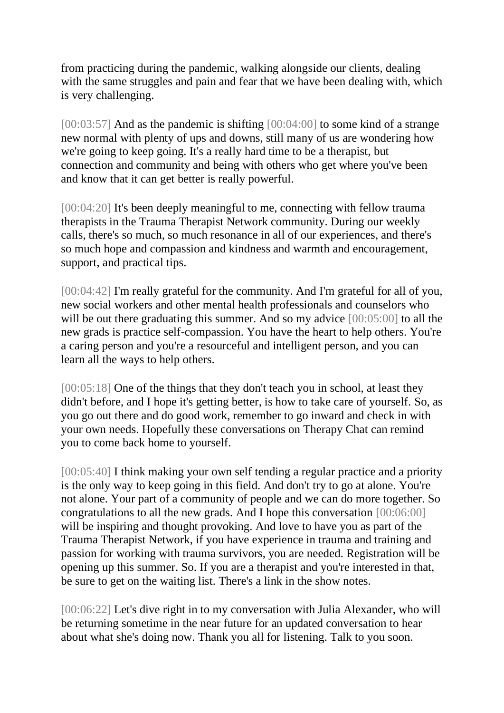from practicing during the pandemic, walking alongside our clients, dealing with the same struggles and pain and fear that we have been dealing with, which is very challenging.

[00:03:57] And as the pandemic is shifting [00:04:00] to some kind of a strange new normal with plenty of ups and downs, still many of us are wondering how we're going to keep going. It's a really hard time to be a therapist, but connection and community and being with others who get where you've been and know that it can get better is really powerful.

[00:04:20] It's been deeply meaningful to me, connecting with fellow trauma therapists in the Trauma Therapist Network community. During our weekly calls, there's so much, so much resonance in all of our experiences, and there's so much hope and compassion and kindness and warmth and encouragement, support, and practical tips.

[00:04:42] I'm really grateful for the community. And I'm grateful for all of you, new social workers and other mental health professionals and counselors who will be out there graduating this summer. And so my advice [00:05:00] to all the new grads is practice self-compassion. You have the heart to help others. You're a caring person and you're a resourceful and intelligent person, and you can learn all the ways to help others.

[00:05:18] One of the things that they don't teach you in school, at least they didn't before, and I hope it's getting better, is how to take care of yourself. So, as you go out there and do good work, remember to go inward and check in with your own needs. Hopefully these conversations on Therapy Chat can remind you to come back home to yourself.

[00:05:40] I think making your own self tending a regular practice and a priority is the only way to keep going in this field. And don't try to go at alone. You're not alone. Your part of a community of people and we can do more together. So congratulations to all the new grads. And I hope this conversation [00:06:00] will be inspiring and thought provoking. And love to have you as part of the Trauma Therapist Network, if you have experience in trauma and training and passion for working with trauma survivors, you are needed. Registration will be opening up this summer. So. If you are a therapist and you're interested in that, be sure to get on the waiting list. There's a link in the show notes.

[00:06:22] Let's dive right in to my conversation with Julia Alexander, who will be returning sometime in the near future for an updated conversation to hear about what she's doing now. Thank you all for listening. Talk to you soon.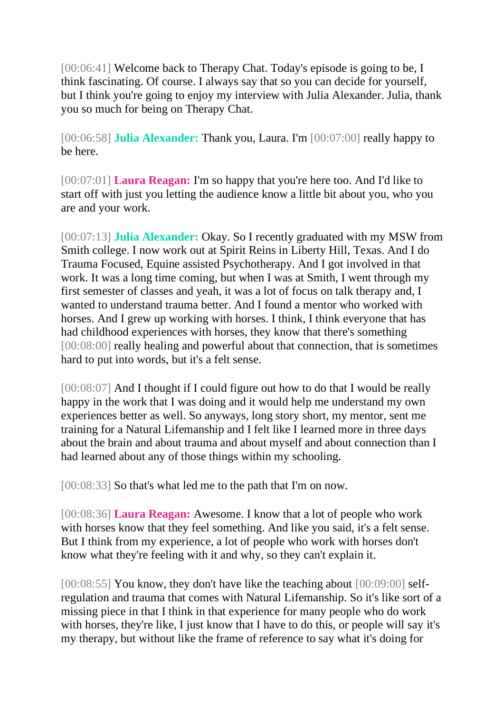[00:06:41] Welcome back to Therapy Chat. Today's episode is going to be, I think fascinating. Of course. I always say that so you can decide for yourself, but I think you're going to enjoy my interview with Julia Alexander. Julia, thank you so much for being on Therapy Chat.

[00:06:58] **Julia Alexander:** Thank you, Laura. I'm [00:07:00] really happy to be here.

[00:07:01] **Laura Reagan:** I'm so happy that you're here too. And I'd like to start off with just you letting the audience know a little bit about you, who you are and your work.

[00:07:13] **Julia Alexander:** Okay. So I recently graduated with my MSW from Smith college. I now work out at Spirit Reins in Liberty Hill, Texas. And I do Trauma Focused, Equine assisted Psychotherapy. And I got involved in that work. It was a long time coming, but when I was at Smith, I went through my first semester of classes and yeah, it was a lot of focus on talk therapy and, I wanted to understand trauma better. And I found a mentor who worked with horses. And I grew up working with horses. I think, I think everyone that has had childhood experiences with horses, they know that there's something [00:08:00] really healing and powerful about that connection, that is sometimes hard to put into words, but it's a felt sense.

[00:08:07] And I thought if I could figure out how to do that I would be really happy in the work that I was doing and it would help me understand my own experiences better as well. So anyways, long story short, my mentor, sent me training for a Natural Lifemanship and I felt like I learned more in three days about the brain and about trauma and about myself and about connection than I had learned about any of those things within my schooling.

[00:08:33] So that's what led me to the path that I'm on now.

[00:08:36] **Laura Reagan:** Awesome. I know that a lot of people who work with horses know that they feel something. And like you said, it's a felt sense. But I think from my experience, a lot of people who work with horses don't know what they're feeling with it and why, so they can't explain it.

[00:08:55] You know, they don't have like the teaching about [00:09:00] selfregulation and trauma that comes with Natural Lifemanship. So it's like sort of a missing piece in that I think in that experience for many people who do work with horses, they're like, I just know that I have to do this, or people will say it's my therapy, but without like the frame of reference to say what it's doing for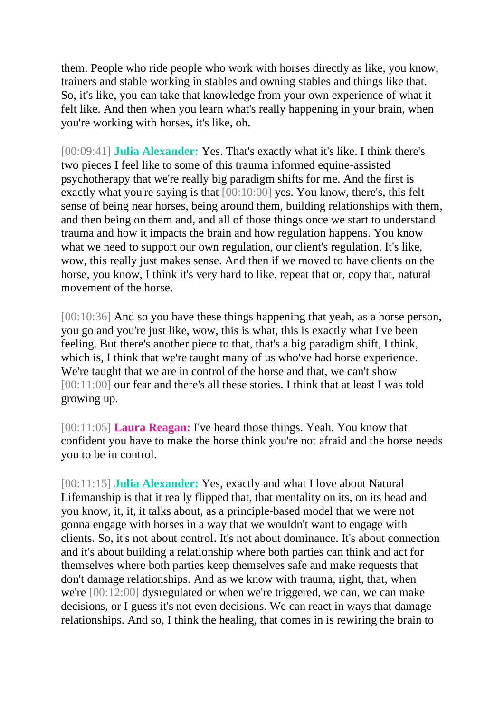them. People who ride people who work with horses directly as like, you know, trainers and stable working in stables and owning stables and things like that. So, it's like, you can take that knowledge from your own experience of what it felt like. And then when you learn what's really happening in your brain, when you're working with horses, it's like, oh.

[00:09:41] **Julia Alexander:** Yes. That's exactly what it's like. I think there's two pieces I feel like to some of this trauma informed equine-assisted psychotherapy that we're really big paradigm shifts for me. And the first is exactly what you're saying is that [00:10:00] yes. You know, there's, this felt sense of being near horses, being around them, building relationships with them, and then being on them and, and all of those things once we start to understand trauma and how it impacts the brain and how regulation happens. You know what we need to support our own regulation, our client's regulation. It's like, wow, this really just makes sense. And then if we moved to have clients on the horse, you know, I think it's very hard to like, repeat that or, copy that, natural movement of the horse.

[00:10:36] And so you have these things happening that yeah, as a horse person, you go and you're just like, wow, this is what, this is exactly what I've been feeling. But there's another piece to that, that's a big paradigm shift, I think, which is, I think that we're taught many of us who've had horse experience. We're taught that we are in control of the horse and that, we can't show [00:11:00] our fear and there's all these stories. I think that at least I was told growing up.

[00:11:05] **Laura Reagan:** I've heard those things. Yeah. You know that confident you have to make the horse think you're not afraid and the horse needs you to be in control.

[00:11:15] **Julia Alexander:** Yes, exactly and what I love about Natural Lifemanship is that it really flipped that, that mentality on its, on its head and you know, it, it, it talks about, as a principle-based model that we were not gonna engage with horses in a way that we wouldn't want to engage with clients. So, it's not about control. It's not about dominance. It's about connection and it's about building a relationship where both parties can think and act for themselves where both parties keep themselves safe and make requests that don't damage relationships. And as we know with trauma, right, that, when we're [00:12:00] dysregulated or when we're triggered, we can, we can make decisions, or I guess it's not even decisions. We can react in ways that damage relationships. And so, I think the healing, that comes in is rewiring the brain to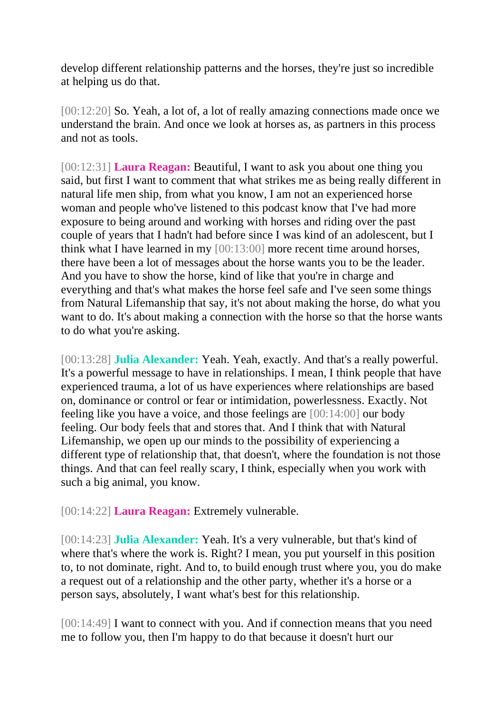develop different relationship patterns and the horses, they're just so incredible at helping us do that.

[00:12:20] So. Yeah, a lot of, a lot of really amazing connections made once we understand the brain. And once we look at horses as, as partners in this process and not as tools.

[00:12:31] **Laura Reagan:** Beautiful, I want to ask you about one thing you said, but first I want to comment that what strikes me as being really different in natural life men ship, from what you know, I am not an experienced horse woman and people who've listened to this podcast know that I've had more exposure to being around and working with horses and riding over the past couple of years that I hadn't had before since I was kind of an adolescent, but I think what I have learned in my [00:13:00] more recent time around horses, there have been a lot of messages about the horse wants you to be the leader. And you have to show the horse, kind of like that you're in charge and everything and that's what makes the horse feel safe and I've seen some things from Natural Lifemanship that say, it's not about making the horse, do what you want to do. It's about making a connection with the horse so that the horse wants to do what you're asking.

[00:13:28] **Julia Alexander:** Yeah. Yeah, exactly. And that's a really powerful. It's a powerful message to have in relationships. I mean, I think people that have experienced trauma, a lot of us have experiences where relationships are based on, dominance or control or fear or intimidation, powerlessness. Exactly. Not feeling like you have a voice, and those feelings are [00:14:00] our body feeling. Our body feels that and stores that. And I think that with Natural Lifemanship, we open up our minds to the possibility of experiencing a different type of relationship that, that doesn't, where the foundation is not those things. And that can feel really scary, I think, especially when you work with such a big animal, you know.

[00:14:22] **Laura Reagan:** Extremely vulnerable.

[00:14:23] **Julia Alexander:** Yeah. It's a very vulnerable, but that's kind of where that's where the work is. Right? I mean, you put yourself in this position to, to not dominate, right. And to, to build enough trust where you, you do make a request out of a relationship and the other party, whether it's a horse or a person says, absolutely, I want what's best for this relationship.

[00:14:49] I want to connect with you. And if connection means that you need me to follow you, then I'm happy to do that because it doesn't hurt our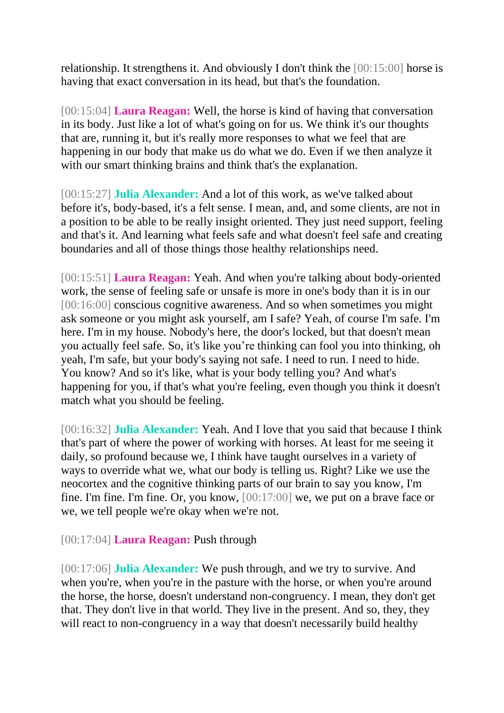relationship. It strengthens it. And obviously I don't think the [00:15:00] horse is having that exact conversation in its head, but that's the foundation.

[00:15:04] **Laura Reagan:** Well, the horse is kind of having that conversation in its body. Just like a lot of what's going on for us. We think it's our thoughts that are, running it, but it's really more responses to what we feel that are happening in our body that make us do what we do. Even if we then analyze it with our smart thinking brains and think that's the explanation.

[00:15:27] **Julia Alexander:** And a lot of this work, as we've talked about before it's, body-based, it's a felt sense. I mean, and, and some clients, are not in a position to be able to be really insight oriented. They just need support, feeling and that's it. And learning what feels safe and what doesn't feel safe and creating boundaries and all of those things those healthy relationships need.

[00:15:51] **Laura Reagan:** Yeah. And when you're talking about body-oriented work, the sense of feeling safe or unsafe is more in one's body than it is in our [00:16:00] conscious cognitive awareness. And so when sometimes you might ask someone or you might ask yourself, am I safe? Yeah, of course I'm safe. I'm here. I'm in my house. Nobody's here, the door's locked, but that doesn't mean you actually feel safe. So, it's like you're thinking can fool you into thinking, oh yeah, I'm safe, but your body's saying not safe. I need to run. I need to hide. You know? And so it's like, what is your body telling you? And what's happening for you, if that's what you're feeling, even though you think it doesn't match what you should be feeling.

[00:16:32] **Julia Alexander:** Yeah. And I love that you said that because I think that's part of where the power of working with horses. At least for me seeing it daily, so profound because we, I think have taught ourselves in a variety of ways to override what we, what our body is telling us. Right? Like we use the neocortex and the cognitive thinking parts of our brain to say you know, I'm fine. I'm fine. I'm fine. Or, you know, [00:17:00] we, we put on a brave face or we, we tell people we're okay when we're not.

[00:17:04] **Laura Reagan:** Push through

[00:17:06] **Julia Alexander:** We push through, and we try to survive. And when you're, when you're in the pasture with the horse, or when you're around the horse, the horse, doesn't understand non-congruency. I mean, they don't get that. They don't live in that world. They live in the present. And so, they, they will react to non-congruency in a way that doesn't necessarily build healthy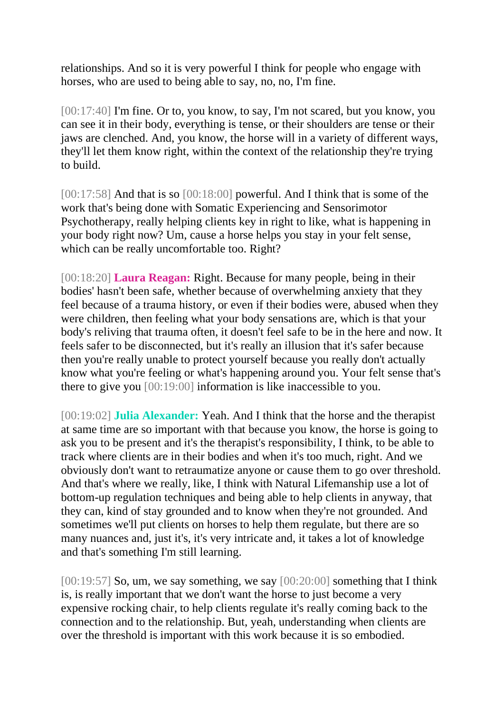relationships. And so it is very powerful I think for people who engage with horses, who are used to being able to say, no, no, I'm fine.

[00:17:40] I'm fine. Or to, you know, to say, I'm not scared, but you know, you can see it in their body, everything is tense, or their shoulders are tense or their jaws are clenched. And, you know, the horse will in a variety of different ways, they'll let them know right, within the context of the relationship they're trying to build.

[00:17:58] And that is so [00:18:00] powerful. And I think that is some of the work that's being done with Somatic Experiencing and Sensorimotor Psychotherapy, really helping clients key in right to like, what is happening in your body right now? Um, cause a horse helps you stay in your felt sense, which can be really uncomfortable too. Right?

[00:18:20] **Laura Reagan:** Right. Because for many people, being in their bodies' hasn't been safe, whether because of overwhelming anxiety that they feel because of a trauma history, or even if their bodies were, abused when they were children, then feeling what your body sensations are, which is that your body's reliving that trauma often, it doesn't feel safe to be in the here and now. It feels safer to be disconnected, but it's really an illusion that it's safer because then you're really unable to protect yourself because you really don't actually know what you're feeling or what's happening around you. Your felt sense that's there to give you [00:19:00] information is like inaccessible to you.

[00:19:02] **Julia Alexander:** Yeah. And I think that the horse and the therapist at same time are so important with that because you know, the horse is going to ask you to be present and it's the therapist's responsibility, I think, to be able to track where clients are in their bodies and when it's too much, right. And we obviously don't want to retraumatize anyone or cause them to go over threshold. And that's where we really, like, I think with Natural Lifemanship use a lot of bottom-up regulation techniques and being able to help clients in anyway, that they can, kind of stay grounded and to know when they're not grounded. And sometimes we'll put clients on horses to help them regulate, but there are so many nuances and, just it's, it's very intricate and, it takes a lot of knowledge and that's something I'm still learning.

 $[00:19:57]$  So, um, we say something, we say  $[00:20:00]$  something that I think is, is really important that we don't want the horse to just become a very expensive rocking chair, to help clients regulate it's really coming back to the connection and to the relationship. But, yeah, understanding when clients are over the threshold is important with this work because it is so embodied.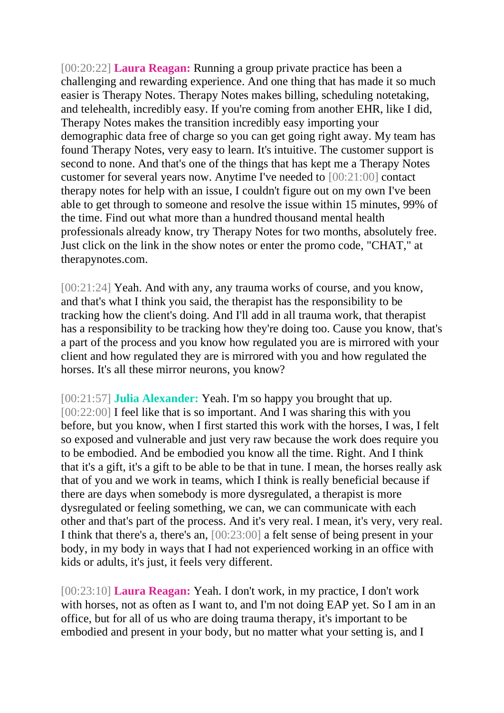[00:20:22] **Laura Reagan:** Running a group private practice has been a challenging and rewarding experience. And one thing that has made it so much easier is Therapy Notes. Therapy Notes makes billing, scheduling notetaking, and telehealth, incredibly easy. If you're coming from another EHR, like I did, Therapy Notes makes the transition incredibly easy importing your demographic data free of charge so you can get going right away. My team has found Therapy Notes, very easy to learn. It's intuitive. The customer support is second to none. And that's one of the things that has kept me a Therapy Notes customer for several years now. Anytime I've needed to [00:21:00] contact therapy notes for help with an issue, I couldn't figure out on my own I've been able to get through to someone and resolve the issue within 15 minutes, 99% of the time. Find out what more than a hundred thousand mental health professionals already know, try Therapy Notes for two months, absolutely free. Just click on the link in the show notes or enter the promo code, "CHAT," at therapynotes.com.

[00:21:24] Yeah. And with any, any trauma works of course, and you know, and that's what I think you said, the therapist has the responsibility to be tracking how the client's doing. And I'll add in all trauma work, that therapist has a responsibility to be tracking how they're doing too. Cause you know, that's a part of the process and you know how regulated you are is mirrored with your client and how regulated they are is mirrored with you and how regulated the horses. It's all these mirror neurons, you know?

[00:21:57] **Julia Alexander:** Yeah. I'm so happy you brought that up. [00:22:00] I feel like that is so important. And I was sharing this with you before, but you know, when I first started this work with the horses, I was, I felt so exposed and vulnerable and just very raw because the work does require you to be embodied. And be embodied you know all the time. Right. And I think that it's a gift, it's a gift to be able to be that in tune. I mean, the horses really ask that of you and we work in teams, which I think is really beneficial because if there are days when somebody is more dysregulated, a therapist is more dysregulated or feeling something, we can, we can communicate with each other and that's part of the process. And it's very real. I mean, it's very, very real. I think that there's a, there's an, [00:23:00] a felt sense of being present in your body, in my body in ways that I had not experienced working in an office with kids or adults, it's just, it feels very different.

[00:23:10] **Laura Reagan:** Yeah. I don't work, in my practice, I don't work with horses, not as often as I want to, and I'm not doing EAP yet. So I am in an office, but for all of us who are doing trauma therapy, it's important to be embodied and present in your body, but no matter what your setting is, and I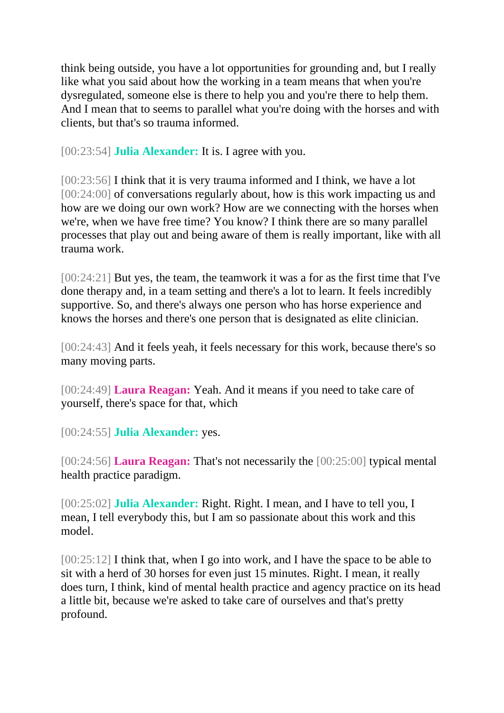think being outside, you have a lot opportunities for grounding and, but I really like what you said about how the working in a team means that when you're dysregulated, someone else is there to help you and you're there to help them. And I mean that to seems to parallel what you're doing with the horses and with clients, but that's so trauma informed.

[00:23:54] **Julia Alexander:** It is. I agree with you.

[00:23:56] I think that it is very trauma informed and I think, we have a lot [00:24:00] of conversations regularly about, how is this work impacting us and how are we doing our own work? How are we connecting with the horses when we're, when we have free time? You know? I think there are so many parallel processes that play out and being aware of them is really important, like with all trauma work.

[00:24:21] But yes, the team, the teamwork it was a for as the first time that I've done therapy and, in a team setting and there's a lot to learn. It feels incredibly supportive. So, and there's always one person who has horse experience and knows the horses and there's one person that is designated as elite clinician.

[00:24:43] And it feels yeah, it feels necessary for this work, because there's so many moving parts.

[00:24:49] **Laura Reagan:** Yeah. And it means if you need to take care of yourself, there's space for that, which

[00:24:55] **Julia Alexander:** yes.

[00:24:56] **Laura Reagan:** That's not necessarily the [00:25:00] typical mental health practice paradigm.

[00:25:02] **Julia Alexander:** Right. Right. I mean, and I have to tell you, I mean, I tell everybody this, but I am so passionate about this work and this model.

[00:25:12] I think that, when I go into work, and I have the space to be able to sit with a herd of 30 horses for even just 15 minutes. Right. I mean, it really does turn, I think, kind of mental health practice and agency practice on its head a little bit, because we're asked to take care of ourselves and that's pretty profound.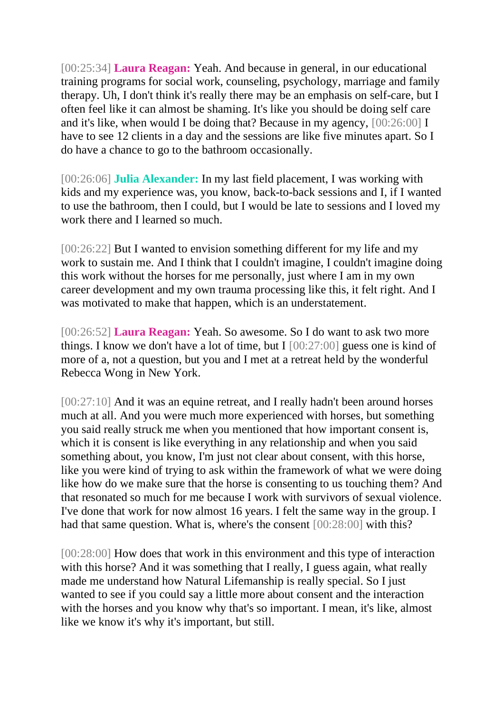[00:25:34] **Laura Reagan:** Yeah. And because in general, in our educational training programs for social work, counseling, psychology, marriage and family therapy. Uh, I don't think it's really there may be an emphasis on self-care, but I often feel like it can almost be shaming. It's like you should be doing self care and it's like, when would I be doing that? Because in my agency, [00:26:00] I have to see 12 clients in a day and the sessions are like five minutes apart. So I do have a chance to go to the bathroom occasionally.

[00:26:06] **Julia Alexander:** In my last field placement, I was working with kids and my experience was, you know, back-to-back sessions and I, if I wanted to use the bathroom, then I could, but I would be late to sessions and I loved my work there and I learned so much.

[00:26:22] But I wanted to envision something different for my life and my work to sustain me. And I think that I couldn't imagine, I couldn't imagine doing this work without the horses for me personally, just where I am in my own career development and my own trauma processing like this, it felt right. And I was motivated to make that happen, which is an understatement.

[00:26:52] **Laura Reagan:** Yeah. So awesome. So I do want to ask two more things. I know we don't have a lot of time, but I  $[00:27:00]$  guess one is kind of more of a, not a question, but you and I met at a retreat held by the wonderful Rebecca Wong in New York.

[00:27:10] And it was an equine retreat, and I really hadn't been around horses much at all. And you were much more experienced with horses, but something you said really struck me when you mentioned that how important consent is, which it is consent is like everything in any relationship and when you said something about, you know, I'm just not clear about consent, with this horse, like you were kind of trying to ask within the framework of what we were doing like how do we make sure that the horse is consenting to us touching them? And that resonated so much for me because I work with survivors of sexual violence. I've done that work for now almost 16 years. I felt the same way in the group. I had that same question. What is, where's the consent [00:28:00] with this?

[00:28:00] How does that work in this environment and this type of interaction with this horse? And it was something that I really, I guess again, what really made me understand how Natural Lifemanship is really special. So I just wanted to see if you could say a little more about consent and the interaction with the horses and you know why that's so important. I mean, it's like, almost like we know it's why it's important, but still.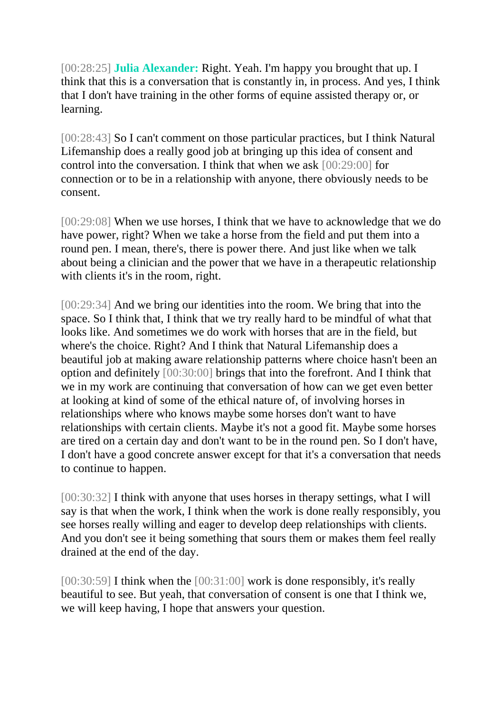[00:28:25] **Julia Alexander:** Right. Yeah. I'm happy you brought that up. I think that this is a conversation that is constantly in, in process. And yes, I think that I don't have training in the other forms of equine assisted therapy or, or learning.

[00:28:43] So I can't comment on those particular practices, but I think Natural Lifemanship does a really good job at bringing up this idea of consent and control into the conversation. I think that when we ask [00:29:00] for connection or to be in a relationship with anyone, there obviously needs to be consent.

[00:29:08] When we use horses, I think that we have to acknowledge that we do have power, right? When we take a horse from the field and put them into a round pen. I mean, there's, there is power there. And just like when we talk about being a clinician and the power that we have in a therapeutic relationship with clients it's in the room, right.

[00:29:34] And we bring our identities into the room. We bring that into the space. So I think that, I think that we try really hard to be mindful of what that looks like. And sometimes we do work with horses that are in the field, but where's the choice. Right? And I think that Natural Lifemanship does a beautiful job at making aware relationship patterns where choice hasn't been an option and definitely [00:30:00] brings that into the forefront. And I think that we in my work are continuing that conversation of how can we get even better at looking at kind of some of the ethical nature of, of involving horses in relationships where who knows maybe some horses don't want to have relationships with certain clients. Maybe it's not a good fit. Maybe some horses are tired on a certain day and don't want to be in the round pen. So I don't have, I don't have a good concrete answer except for that it's a conversation that needs to continue to happen.

[00:30:32] I think with anyone that uses horses in therapy settings, what I will say is that when the work, I think when the work is done really responsibly, you see horses really willing and eager to develop deep relationships with clients. And you don't see it being something that sours them or makes them feel really drained at the end of the day.

[00:30:59] I think when the [00:31:00] work is done responsibly, it's really beautiful to see. But yeah, that conversation of consent is one that I think we, we will keep having, I hope that answers your question.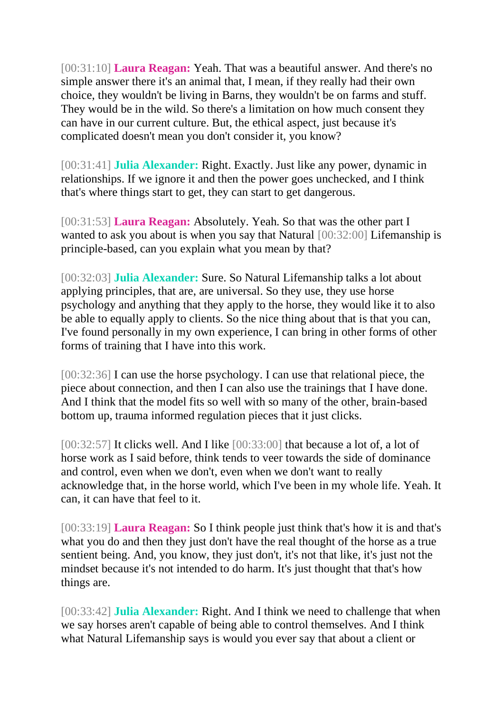[00:31:10] **Laura Reagan:** Yeah. That was a beautiful answer. And there's no simple answer there it's an animal that, I mean, if they really had their own choice, they wouldn't be living in Barns, they wouldn't be on farms and stuff. They would be in the wild. So there's a limitation on how much consent they can have in our current culture. But, the ethical aspect, just because it's complicated doesn't mean you don't consider it, you know?

[00:31:41] **Julia Alexander:** Right. Exactly. Just like any power, dynamic in relationships. If we ignore it and then the power goes unchecked, and I think that's where things start to get, they can start to get dangerous.

[00:31:53] **Laura Reagan:** Absolutely. Yeah. So that was the other part I wanted to ask you about is when you say that Natural [00:32:00] Lifemanship is principle-based, can you explain what you mean by that?

[00:32:03] **Julia Alexander:** Sure. So Natural Lifemanship talks a lot about applying principles, that are, are universal. So they use, they use horse psychology and anything that they apply to the horse, they would like it to also be able to equally apply to clients. So the nice thing about that is that you can, I've found personally in my own experience, I can bring in other forms of other forms of training that I have into this work.

[00:32:36] I can use the horse psychology. I can use that relational piece, the piece about connection, and then I can also use the trainings that I have done. And I think that the model fits so well with so many of the other, brain-based bottom up, trauma informed regulation pieces that it just clicks.

[00:32:57] It clicks well. And I like [00:33:00] that because a lot of, a lot of horse work as I said before, think tends to veer towards the side of dominance and control, even when we don't, even when we don't want to really acknowledge that, in the horse world, which I've been in my whole life. Yeah. It can, it can have that feel to it.

[00:33:19] **Laura Reagan:** So I think people just think that's how it is and that's what you do and then they just don't have the real thought of the horse as a true sentient being. And, you know, they just don't, it's not that like, it's just not the mindset because it's not intended to do harm. It's just thought that that's how things are.

[00:33:42] **Julia Alexander:** Right. And I think we need to challenge that when we say horses aren't capable of being able to control themselves. And I think what Natural Lifemanship says is would you ever say that about a client or